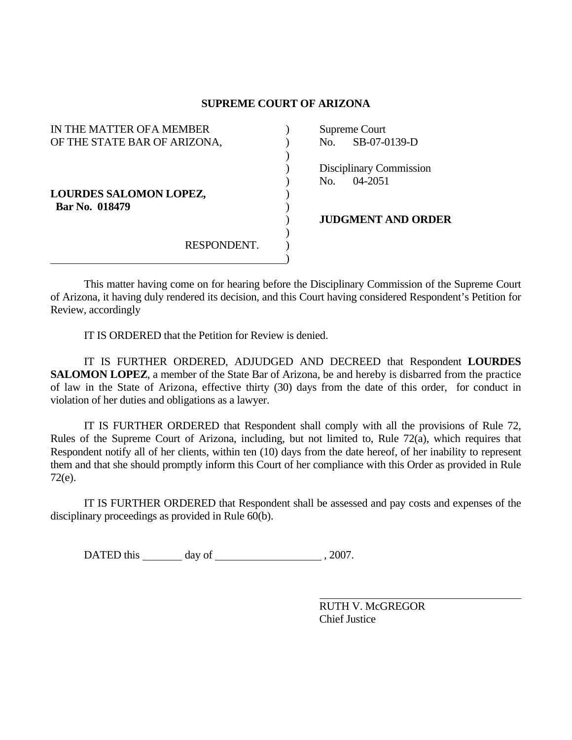## **SUPREME COURT OF ARIZONA**

| IN THE MATTER OF A MEMBER     |  | Supreme Court             |
|-------------------------------|--|---------------------------|
| OF THE STATE BAR OF ARIZONA,  |  | SB-07-0139-D<br>No.       |
|                               |  |                           |
|                               |  | Disciplinary Commission   |
|                               |  | $04 - 2051$<br>No.        |
| <b>LOURDES SALOMON LOPEZ,</b> |  |                           |
| Bar No. 018479                |  |                           |
|                               |  | <b>JUDGMENT AND ORDER</b> |
|                               |  |                           |
| RESPONDENT.                   |  |                           |
|                               |  |                           |

 This matter having come on for hearing before the Disciplinary Commission of the Supreme Court of Arizona, it having duly rendered its decision, and this Court having considered Respondent's Petition for Review, accordingly

IT IS ORDERED that the Petition for Review is denied.

 IT IS FURTHER ORDERED, ADJUDGED AND DECREED that Respondent **LOURDES SALOMON LOPEZ**, a member of the State Bar of Arizona, be and hereby is disbarred from the practice of law in the State of Arizona, effective thirty (30) days from the date of this order, for conduct in violation of her duties and obligations as a lawyer.

 IT IS FURTHER ORDERED that Respondent shall comply with all the provisions of Rule 72, Rules of the Supreme Court of Arizona, including, but not limited to, Rule 72(a), which requires that Respondent notify all of her clients, within ten (10) days from the date hereof, of her inability to represent them and that she should promptly inform this Court of her compliance with this Order as provided in Rule 72(e).

 IT IS FURTHER ORDERED that Respondent shall be assessed and pay costs and expenses of the disciplinary proceedings as provided in Rule 60(b).

DATED this day of 3007.

 RUTH V. McGREGOR Chief Justice